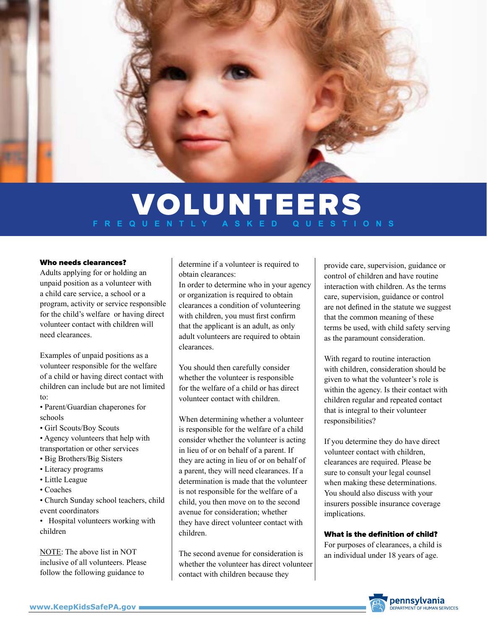

# VOLUNTEERS **FREQUENTLY ASKED QUESTIONS**

#### Who needs clearances?

Adults applying for or holding an unpaid position as a volunteer with a child care service, a school or a program, activity or service responsible for the child's welfare or having direct volunteer contact with children will need clearances.

Examples of unpaid positions as a volunteer responsible for the welfare of a child or having direct contact with children can include but are not limited to:

• Parent/Guardian chaperones for schools

• Girl Scouts/Boy Scouts

- Agency volunteers that help with transportation or other services
- Big Brothers/Big Sisters
- Literacy programs
- Little League
- Coaches

• Church Sunday school teachers, child event coordinators

• Hospital volunteers working with children

NOTE: The above list in NOT inclusive of all volunteers. Please follow the following guidance to

determine if a volunteer is required to obtain clearances:

In order to determine who in your agency or organization is required to obtain clearances a condition of volunteering with children, you must first confirm that the applicant is an adult, as only adult volunteers are required to obtain clearances.

You should then carefully consider whether the volunteer is responsible for the welfare of a child or has direct volunteer contact with children.

When determining whether a volunteer is responsible for the welfare of a child consider whether the volunteer is acting in lieu of or on behalf of a parent. If they are acting in lieu of or on behalf of a parent, they will need clearances. If a determination is made that the volunteer is not responsible for the welfare of a child, you then move on to the second avenue for consideration; whether they have direct volunteer contact with children.

The second avenue for consideration is whether the volunteer has direct volunteer contact with children because they

provide care, supervision, guidance or control of children and have routine interaction with children. As the terms care, supervision, guidance or control are not defined in the statute we suggest that the common meaning of these terms be used, with child safety serving as the paramount consideration.

With regard to routine interaction with children, consideration should be given to what the volunteer's role is within the agency. Is their contact with children regular and repeated contact that is integral to their volunteer responsibilities?

If you determine they do have direct volunteer contact with children, clearances are required. Please be sure to consult your legal counsel when making these determinations. You should also discuss with your insurers possible insurance coverage implications.

## What is the definition of child?

For purposes of clearances, a child is an individual under 18 years of age.

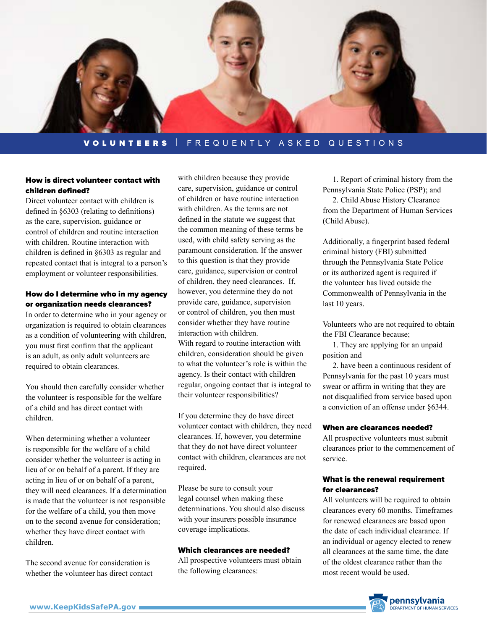

## VOLUNTEERS | FREQUENTLY ASKED QUESTIONS

## How is direct volunteer contact with children defined?

Direct volunteer contact with children is defined in §6303 (relating to definitions) as the care, supervision, guidance or control of children and routine interaction with children. Routine interaction with children is defined in §6303 as regular and repeated contact that is integral to a person's employment or volunteer responsibilities.

## How do I determine who in my agency or organization needs clearances?

In order to determine who in your agency or organization is required to obtain clearances as a condition of volunteering with children, you must first confirm that the applicant is an adult, as only adult volunteers are required to obtain clearances.

You should then carefully consider whether the volunteer is responsible for the welfare of a child and has direct contact with children.

When determining whether a volunteer is responsible for the welfare of a child consider whether the volunteer is acting in lieu of or on behalf of a parent. If they are acting in lieu of or on behalf of a parent, they will need clearances. If a determination is made that the volunteer is not responsible for the welfare of a child, you then move on to the second avenue for consideration; whether they have direct contact with children.

The second avenue for consideration is whether the volunteer has direct contact

with children because they provide care, supervision, guidance or control of children or have routine interaction with children. As the terms are not defined in the statute we suggest that the common meaning of these terms be used, with child safety serving as the paramount consideration. If the answer to this question is that they provide care, guidance, supervision or control of children, they need clearances. If, however, you determine they do not provide care, guidance, supervision or control of children, you then must consider whether they have routine interaction with children. With regard to routine interaction with children, consideration should be given

to what the volunteer's role is within the agency. Is their contact with children regular, ongoing contact that is integral to their volunteer responsibilities?

If you determine they do have direct volunteer contact with children, they need clearances. If, however, you determine that they do not have direct volunteer contact with children, clearances are not required.

Please be sure to consult your legal counsel when making these determinations. You should also discuss with your insurers possible insurance coverage implications.

#### Which clearances are needed?

All prospective volunteers must obtain the following clearances:

 1. Report of criminal history from the Pennsylvania State Police (PSP); and

 2. Child Abuse History Clearance from the Department of Human Services (Child Abuse).

Additionally, a fingerprint based federal criminal history (FBI) submitted through the Pennsylvania State Police or its authorized agent is required if the volunteer has lived outside the Commonwealth of Pennsylvania in the last 10 years.

Volunteers who are not required to obtain the FBI Clearance because;

 1. They are applying for an unpaid position and

 2. have been a continuous resident of Pennsylvania for the past 10 years must swear or affirm in writing that they are not disqualified from service based upon a conviction of an offense under §6344.

#### When are clearances needed?

All prospective volunteers must submit clearances prior to the commencement of service.

## What is the renewal requirement for clearances?

All volunteers will be required to obtain clearances every 60 months. Timeframes for renewed clearances are based upon the date of each individual clearance. If an individual or agency elected to renew all clearances at the same time, the date of the oldest clearance rather than the most recent would be used.

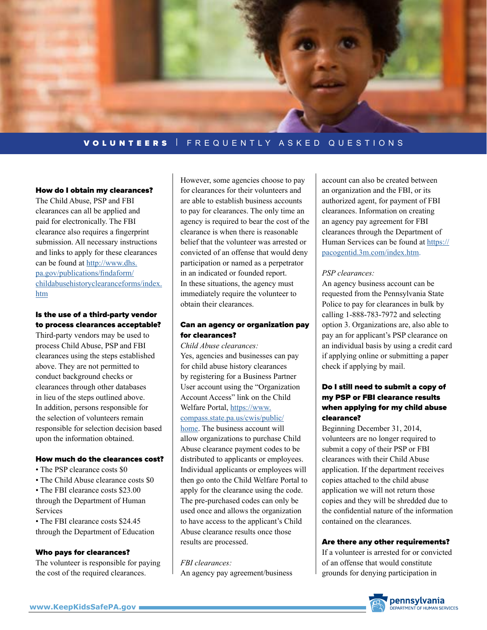

# VOLUNTEERS | FREQUENTLY ASKED QUESTIONS

#### How do I obtain my clearances?

The Child Abuse, PSP and FBI clearances can all be applied and paid for electronically. The FBI clearance also requires a fingerprint submission. All necessary instructions and links to apply for these clearances can be found at [http://www.dhs.](http://www.dhs.pa.gov/publications/findaform/childabusehistoryclearanceforms/index.htm) [pa.gov/publications/findaform/](http://www.dhs.pa.gov/publications/findaform/childabusehistoryclearanceforms/index.htm) [childabusehistoryclearanceforms/index.](http://www.dhs.pa.gov/publications/findaform/childabusehistoryclearanceforms/index.htm) [htm](http://www.dhs.pa.gov/publications/findaform/childabusehistoryclearanceforms/index.htm)

## Is the use of a third-party vendor to process clearances acceptable?

Third-party vendors may be used to process Child Abuse, PSP and FBI clearances using the steps established above. They are not permitted to conduct background checks or clearances through other databases in lieu of the steps outlined above. In addition, persons responsible for the selection of volunteers remain responsible for selection decision based upon the information obtained.

## How much do the clearances cost?

- The PSP clearance costs \$0
- The Child Abuse clearance costs \$0
- The FBI clearance costs \$23.00 through the Department of Human **Services**

• The FBI clearance costs \$24.45 through the Department of Education

#### Who pays for clearances?

The volunteer is responsible for paying the cost of the required clearances.

However, some agencies choose to pay for clearances for their volunteers and are able to establish business accounts to pay for clearances. The only time an agency is required to bear the cost of the clearance is when there is reasonable belief that the volunteer was arrested or convicted of an offense that would deny participation or named as a perpetrator in an indicated or founded report. In these situations, the agency must immediately require the volunteer to obtain their clearances.

## Can an agency or organization pay for clearances?

*Child Abuse clearances:* Yes, agencies and businesses can pay for child abuse history clearances by registering for a Business Partner User account using the "Organization Account Access" link on the Child Welfare Portal, [https://www.](https://www.compass.state.pa.us/cwis/public/home) [compass.state.pa.us/cwis/public/](https://www.compass.state.pa.us/cwis/public/home) [home](https://www.compass.state.pa.us/cwis/public/home). The business account will allow organizations to purchase Child Abuse clearance payment codes to be distributed to applicants or employees. Individual applicants or employees will then go onto the Child Welfare Portal to apply for the clearance using the code. The pre-purchased codes can only be used once and allows the organization to have access to the applicant's Child Abuse clearance results once those results are processed.

*FBI clearances:* An agency pay agreement/business

account can also be created between an organization and the FBI, or its authorized agent, for payment of FBI clearances. Information on creating an agency pay agreement for FBI clearances through the Department of Human Services can be found at [https://](https://pacogentid.3m.com/index.htm) [pacogentid.3m.com/index.htm](https://pacogentid.3m.com/index.htm).

#### *PSP clearances:*

An agency business account can be requested from the Pennsylvania State Police to pay for clearances in bulk by calling 1-888-783-7972 and selecting option 3. Organizations are, also able to pay an for applicant's PSP clearance on an individual basis by using a credit card if applying online or submitting a paper check if applying by mail.

## Do I still need to submit a copy of my PSP or FBI clearance results when applying for my child abuse clearance?

Beginning December 31, 2014, volunteers are no longer required to submit a copy of their PSP or FBI clearances with their Child Abuse application. If the department receives copies attached to the child abuse application we will not return those copies and they will be shredded due to the confidential nature of the information contained on the clearances.

#### Are there any other requirements?

If a volunteer is arrested for or convicted of an offense that would constitute grounds for denying participation in